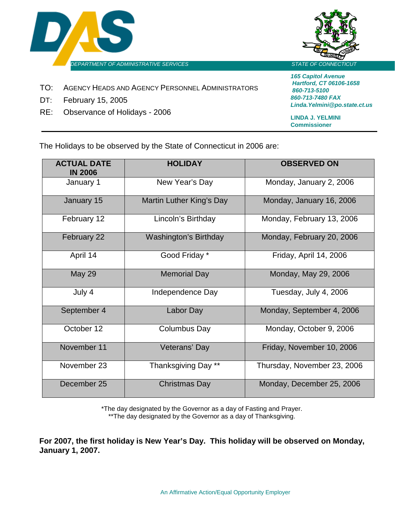



- TO: AGENCY HEADS AND AGENCY PERSONNEL ADMINISTRATORS
- DT: February 15, 2005
- RE: Observance of Holidays 2006

*165 Capitol Avenue Hartford, CT 06106-1658 860-713-5100 860-713-7480 FAX Linda.Yelmini@po.state.ct.us*

**LINDA J. YELMINI Commissioner**

The Holidays to be observed by the State of Connecticut in 2006 are:

| <b>ACTUAL DATE</b><br><b>IN 2006</b> | <b>HOLIDAY</b>               | <b>OBSERVED ON</b>          |
|--------------------------------------|------------------------------|-----------------------------|
| January 1                            | New Year's Day               | Monday, January 2, 2006     |
| January 15                           | Martin Luther King's Day     | Monday, January 16, 2006    |
| February 12                          | Lincoln's Birthday           | Monday, February 13, 2006   |
| February 22                          | <b>Washington's Birthday</b> | Monday, February 20, 2006   |
| April 14                             | Good Friday *                | Friday, April 14, 2006      |
| <b>May 29</b>                        | <b>Memorial Day</b>          | Monday, May 29, 2006        |
| July 4                               | Independence Day             | Tuesday, July 4, 2006       |
| September 4                          | Labor Day                    | Monday, September 4, 2006   |
| October 12                           | Columbus Day                 | Monday, October 9, 2006     |
| November 11                          | Veterans' Day                | Friday, November 10, 2006   |
| November 23                          | Thanksgiving Day **          | Thursday, November 23, 2006 |
| December 25                          | <b>Christmas Day</b>         | Monday, December 25, 2006   |

\*The day designated by the Governor as a day of Fasting and Prayer. \*\*The day designated by the Governor as a day of Thanksgiving.

**For 2007, the first holiday is New Year's Day. This holiday will be observed on Monday, January 1, 2007.**